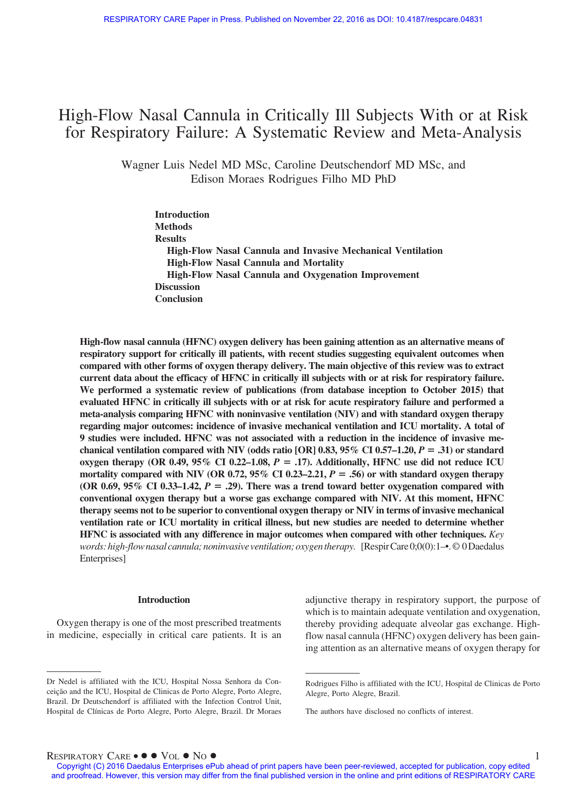# High-Flow Nasal Cannula in Critically Ill Subjects With or at Risk for Respiratory Failure: A Systematic Review and Meta-Analysis

Wagner Luis Nedel MD MSc, Caroline Deutschendorf MD MSc, and Edison Moraes Rodrigues Filho MD PhD

**Introduction Methods Results High-Flow Nasal Cannula and Invasive Mechanical Ventilation High-Flow Nasal Cannula and Mortality High-Flow Nasal Cannula and Oxygenation Improvement Discussion Conclusion**

**High-flow nasal cannula (HFNC) oxygen delivery has been gaining attention as an alternative means of respiratory support for critically ill patients, with recent studies suggesting equivalent outcomes when compared with other forms of oxygen therapy delivery. The main objective of this review was to extract current data about the efficacy of HFNC in critically ill subjects with or at risk for respiratory failure. We performed a systematic review of publications (from database inception to October 2015) that evaluated HFNC in critically ill subjects with or at risk for acute respiratory failure and performed a meta-analysis comparing HFNC with noninvasive ventilation (NIV) and with standard oxygen therapy regarding major outcomes: incidence of invasive mechanical ventilation and ICU mortality. A total of 9 studies were included. HFNC was not associated with a reduction in the incidence of invasive mechanical ventilation compared with NIV (odds ratio [OR] 0.83, 95% CI 0.57–1.20,** *P* - **.31) or standard**  $\alpha$ ygen therapy (OR 0.49, 95% CI 0.22–1.08,  $P = .17$ ). Additionally, HFNC use did not reduce ICU **mortality compared with NIV (OR 0.72, 95% CI 0.23–2.21,** *P* - **.56) or with standard oxygen therapy** (OR 0.69,  $95\%$  CI 0.33–1.42,  $P = .29$ ). There was a trend toward better oxygenation compared with **conventional oxygen therapy but a worse gas exchange compared with NIV. At this moment, HFNC therapy seems not to be superior to conventional oxygen therapy or NIV in terms of invasive mechanical ventilation rate or ICU mortality in critical illness, but new studies are needed to determine whether HFNC is associated with any difference in major outcomes when compared with other techniques.** *Key words: high-flow nasal cannula; noninvasive ventilation; oxygentherapy.* [RespirCare 0;0(0):1–•.© 0Daedalus Enterprises]

### **Introduction**

Oxygen therapy is one of the most prescribed treatments in medicine, especially in critical care patients. It is an adjunctive therapy in respiratory support, the purpose of which is to maintain adequate ventilation and oxygenation, thereby providing adequate alveolar gas exchange. Highflow nasal cannula (HFNC) oxygen delivery has been gaining attention as an alternative means of oxygen therapy for

 $R$ ESPIRATORY  $C$ ARE •  $\bullet \bullet \text{Vol} \bullet \text{No} \bullet$ 

Dr Nedel is affiliated with the ICU, Hospital Nossa Senhora da Conceição and the ICU, Hospital de Clinicas de Porto Alegre, Porto Alegre, Brazil. Dr Deutschendorf is affiliated with the Infection Control Unit, Hospital de Clínicas de Porto Alegre, Porto Alegre, Brazil. Dr Moraes

Rodrigues Filho is affiliated with the ICU, Hospital de Clinicas de Porto Alegre, Porto Alegre, Brazil.

The authors have disclosed no conflicts of interest.

Copyright (C) 2016 Daedalus Enterprises ePub ahead of print papers have been peer-reviewed, accepted for publication, copy edited and proofread. However, this version may differ from the final published version in the online and print editions of RESPIRATORY CARE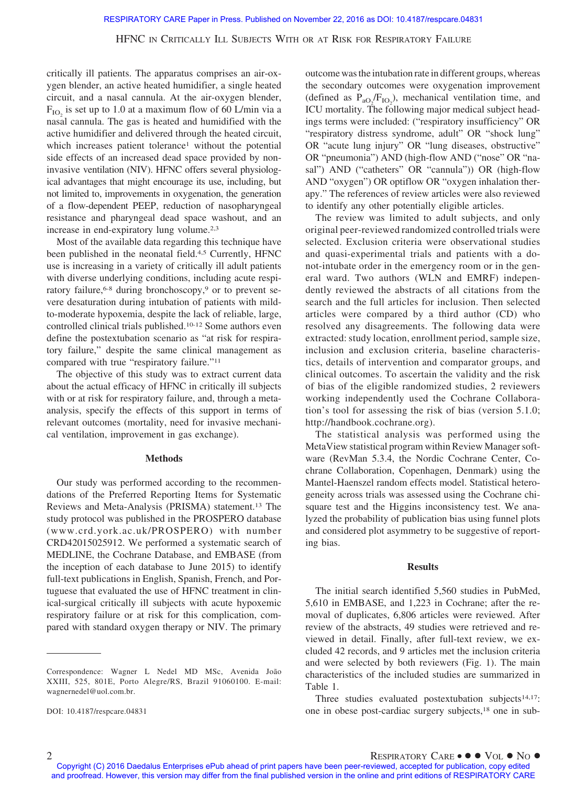critically ill patients. The apparatus comprises an air-oxygen blender, an active heated humidifier, a single heated circuit, and a nasal cannula. At the air-oxygen blender,  $F_{IO}$  is set up to 1.0 at a maximum flow of 60 L/min via a nasal cannula. The gas is heated and humidified with the active humidifier and delivered through the heated circuit, which increases patient tolerance<sup>1</sup> without the potential side effects of an increased dead space provided by noninvasive ventilation (NIV). HFNC offers several physiological advantages that might encourage its use, including, but not limited to, improvements in oxygenation, the generation of a flow-dependent PEEP, reduction of nasopharyngeal resistance and pharyngeal dead space washout, and an increase in end-expiratory lung volume.<sup>2,3</sup>

Most of the available data regarding this technique have been published in the neonatal field.<sup>4,5</sup> Currently, HFNC use is increasing in a variety of critically ill adult patients with diverse underlying conditions, including acute respiratory failure,<sup>6-8</sup> during bronchoscopy,<sup>9</sup> or to prevent severe desaturation during intubation of patients with mildto-moderate hypoxemia, despite the lack of reliable, large, controlled clinical trials published.10-12 Some authors even define the postextubation scenario as "at risk for respiratory failure," despite the same clinical management as compared with true "respiratory failure."11

The objective of this study was to extract current data about the actual efficacy of HFNC in critically ill subjects with or at risk for respiratory failure, and, through a metaanalysis, specify the effects of this support in terms of relevant outcomes (mortality, need for invasive mechanical ventilation, improvement in gas exchange).

## **Methods**

Our study was performed according to the recommendations of the Preferred Reporting Items for Systematic Reviews and Meta-Analysis (PRISMA) statement.13 The study protocol was published in the PROSPERO database (www.crd.york.ac.uk/PROSPERO) with number CRD42015025912. We performed a systematic search of MEDLINE, the Cochrane Database, and EMBASE (from the inception of each database to June 2015) to identify full-text publications in English, Spanish, French, and Portuguese that evaluated the use of HFNC treatment in clinical-surgical critically ill subjects with acute hypoxemic respiratory failure or at risk for this complication, compared with standard oxygen therapy or NIV. The primary outcome was the intubation rate in different groups, whereas the secondary outcomes were oxygenation improvement (defined as  $P_{aO_2}/F_{IO_2}$ ), mechanical ventilation time, and ICU mortality. The following major medical subject headings terms were included: ("respiratory insufficiency" OR "respiratory distress syndrome, adult" OR "shock lung" OR "acute lung injury" OR "lung diseases, obstructive" OR "pneumonia") AND (high-flow AND ("nose" OR "nasal") AND ("catheters" OR "cannula")) OR (high-flow AND "oxygen") OR optiflow OR "oxygen inhalation therapy." The references of review articles were also reviewed to identify any other potentially eligible articles.

The review was limited to adult subjects, and only original peer-reviewed randomized controlled trials were selected. Exclusion criteria were observational studies and quasi-experimental trials and patients with a donot-intubate order in the emergency room or in the general ward. Two authors (WLN and EMRF) independently reviewed the abstracts of all citations from the search and the full articles for inclusion. Then selected articles were compared by a third author (CD) who resolved any disagreements. The following data were extracted: study location, enrollment period, sample size, inclusion and exclusion criteria, baseline characteristics, details of intervention and comparator groups, and clinical outcomes. To ascertain the validity and the risk of bias of the eligible randomized studies, 2 reviewers working independently used the Cochrane Collaboration's tool for assessing the risk of bias (version 5.1.0; [http://handbook.cochrane.org\)](http://handbook.cochrane.org).

The statistical analysis was performed using the MetaView statistical program within Review Manager software (RevMan 5.3.4, the Nordic Cochrane Center, Cochrane Collaboration, Copenhagen, Denmark) using the Mantel-Haenszel random effects model. Statistical heterogeneity across trials was assessed using the Cochrane chisquare test and the Higgins inconsistency test. We analyzed the probability of publication bias using funnel plots and considered plot asymmetry to be suggestive of reporting bias.

#### **Results**

The initial search identified 5,560 studies in PubMed, 5,610 in EMBASE, and 1,223 in Cochrane; after the removal of duplicates, 6,806 articles were reviewed. After review of the abstracts, 49 studies were retrieved and reviewed in detail. Finally, after full-text review, we excluded 42 records, and 9 articles met the inclusion criteria and were selected by both reviewers (Fig. 1). The main characteristics of the included studies are summarized in Table 1.

Three studies evaluated postextubation subjects<sup>14,17</sup>: one in obese post-cardiac surgery subjects,18 one in sub-

Correspondence: Wagner L Nedel MD MSc, Avenida João XXIII, 525, 801E, Porto Alegre/RS, Brazil 91060100. E-mail: wagnernedel@uol.com.br.

DOI: 10.4187/respcare.04831

Copyright (C) 2016 Daedalus Enterprises ePub ahead of print papers have been peer-reviewed, accepted for publication, copy edited and proofread. However, this version may differ from the final published version in the online and print editions of RESPIRATORY CARE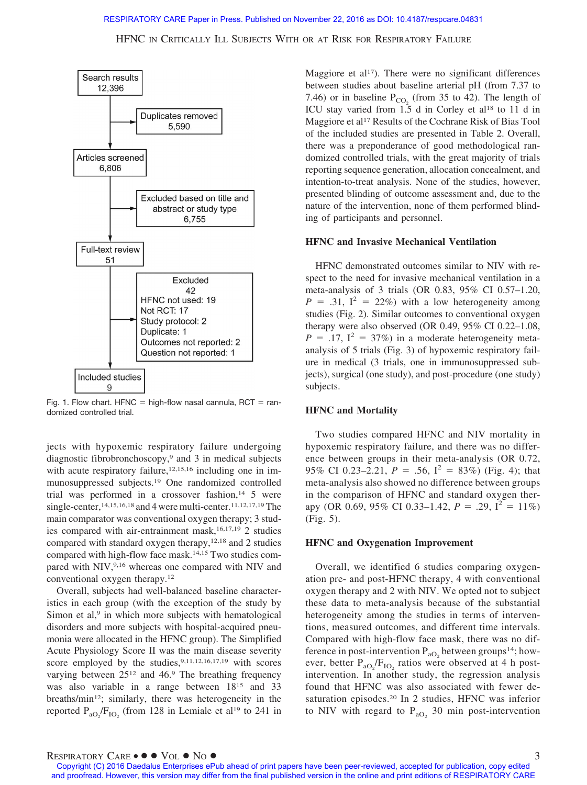### RESPIRATORY CARE Paper in Press. Published on November 22, 2016 as DOI: 10.4187/respcare.04831

HFNC IN CRITICALLY ILL SUBJECTS WITH OR AT RISK FOR RESPIRATORY FAILURE



Fig. 1. Flow chart.  $HFNC =$  high-flow nasal cannula,  $RCT = ran$ domized controlled trial.

jects with hypoxemic respiratory failure undergoing diagnostic fibrobronchoscopy,9 and 3 in medical subjects with acute respiratory failure, $12,15,16$  including one in immunosuppressed subjects.19 One randomized controlled trial was performed in a crossover fashion, $14\,$  5 were single-center,<sup>14,15,16,18</sup> and 4 were multi-center.<sup>11,12,17,19</sup> The main comparator was conventional oxygen therapy; 3 studies compared with air-entrainment mask,<sup>16,17,19</sup> 2 studies compared with standard oxygen therapy,12,18 and 2 studies compared with high-flow face mask.14,15 Two studies compared with NIV,<sup>9,16</sup> whereas one compared with NIV and conventional oxygen therapy.12

Overall, subjects had well-balanced baseline characteristics in each group (with the exception of the study by Simon et al, $9$  in which more subjects with hematological disorders and more subjects with hospital-acquired pneumonia were allocated in the HFNC group). The Simplified Acute Physiology Score II was the main disease severity score employed by the studies, 9,11,12,16,17,19 with scores varying between  $25^{12}$  and 46.9 The breathing frequency was also variable in a range between 1815 and 33 breaths/min12; similarly, there was heterogeneity in the reported  $P_{aO_2}/F_{IO_2}$  (from 128 in Lemiale et al<sup>19</sup> to 241 in

Maggiore et al<sup>17</sup>). There were no significant differences between studies about baseline arterial pH (from 7.37 to 7.46) or in baseline  $P_{CO_2}$  (from 35 to 42). The length of ICU stay varied from 1.5 d in Corley et al<sup>18</sup> to 11 d in Maggiore et al<sup>17</sup> Results of the Cochrane Risk of Bias Tool of the included studies are presented in Table 2. Overall, there was a preponderance of good methodological randomized controlled trials, with the great majority of trials reporting sequence generation, allocation concealment, and intention-to-treat analysis. None of the studies, however, presented blinding of outcome assessment and, due to the nature of the intervention, none of them performed blinding of participants and personnel.

## **HFNC and Invasive Mechanical Ventilation**

HFNC demonstrated outcomes similar to NIV with respect to the need for invasive mechanical ventilation in a meta-analysis of 3 trials (OR 0.83, 95% CI 0.57–1.20,  $P = .31$ ,  $I^2 = 22\%)$  with a low heterogeneity among studies (Fig. 2). Similar outcomes to conventional oxygen therapy were also observed (OR 0.49, 95% CI 0.22–1.08,  $P = .17$ ,  $I^2 = 37\%)$  in a moderate heterogeneity metaanalysis of 5 trials (Fig. 3) of hypoxemic respiratory failure in medical (3 trials, one in immunosuppressed subjects), surgical (one study), and post-procedure (one study) subjects.

### **HFNC and Mortality**

Two studies compared HFNC and NIV mortality in hypoxemic respiratory failure, and there was no difference between groups in their meta-analysis (OR 0.72, 95% CI 0.23–2.21,  $P = .56$ ,  $I^2 = 83\%$ ) (Fig. 4); that meta-analysis also showed no difference between groups in the comparison of HFNC and standard oxygen therapy (OR 0.69, 95% CI 0.33–1.42,  $P = .29$ ,  $\overline{1^2} = 11\%$ ) (Fig. 5).

### **HFNC and Oxygenation Improvement**

Overall, we identified 6 studies comparing oxygenation pre- and post-HFNC therapy, 4 with conventional oxygen therapy and 2 with NIV. We opted not to subject these data to meta-analysis because of the substantial heterogeneity among the studies in terms of interventions, measured outcomes, and different time intervals. Compared with high-flow face mask, there was no difference in post-intervention  $P_{aO_2}$  between groups<sup>14</sup>; however, better  $P_{aO_2}/F_{IO_2}$  ratios were observed at 4 h postintervention. In another study, the regression analysis found that HFNC was also associated with fewer desaturation episodes.20 In 2 studies, HFNC was inferior to NIV with regard to  $P_{aO_2}$  30 min post-intervention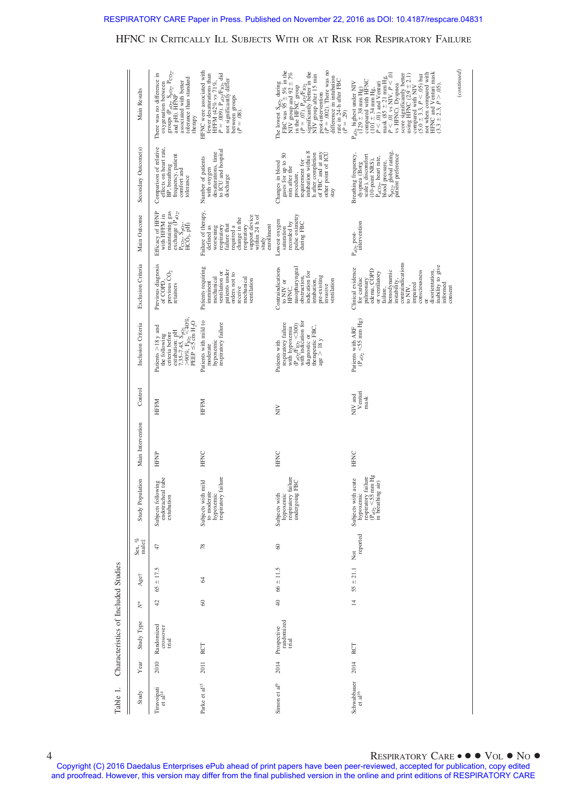# RESPIRATORY CARE Paper in Press. Published on November 22, 2016 as DOI: 10.4187/respcare.04831

## HFNC IN CRITICALLY ILL SUBJECTS WITH OR AT RISK FOR RESPIRATORY FAILURE

| Main Results         | groups $(P_{aO_2}, S_{pO_2}, P_{CO_2},$<br>and pH). HFNP<br>There was no difference in<br>tolerance than standard<br>associated with better<br>oxygenation between<br>therapy                     | HFNC were associated with<br>HFFM (42% vs 71%,<br>P = .009). P <sub>aO2</sub> /F <sub>102</sub> did<br>fewer desaturations than<br>not significantly differ<br>between groups<br>( $P = .08$ ). | $(P = .002)$ . There was no<br>The lowest $S_{pO_2}$ during<br>FBC was $95 \pm 5\%$ in the<br>NIV group and 92 $\pm$ 7%<br>in the HFNC group<br>$(p = .07)$ , $P_{\phi O}/F_{\rm LO2}$<br>$(P = .07)$ , $P_{\phi O}/F_{\rm LO2}$<br>$N$ (N) group sher 15 min<br>NIV group shering 15 min<br>post-intervention<br>difference in intubation<br>rate in 24-h after FBC<br>$(P=.29)$ | $P < 0.01$ vs NIV, $P < 0.01$<br>vs HFNC). Dyspnea<br>not when compared with<br>HFNC and Venturi mask<br>(3.3 $\pm$ 2.3, $P > .05$ ).<br>score significantly better<br>using HFNC $(2.9 \pm 2.1)$<br>$(5.0 \pm 3.3, P < .05)$ but<br>mask $(85 \pm 21$ mm Hg,<br>$P_{aO_2}$ highest under NIV<br>(129 ± 38 mm Hg)<br>compared with HFNC<br>$P < .01$ ) and Venturi<br>compared with NIV<br>$(101 \pm 34 \text{ mm Hg},$ | (continued) |
|----------------------|---------------------------------------------------------------------------------------------------------------------------------------------------------------------------------------------------|-------------------------------------------------------------------------------------------------------------------------------------------------------------------------------------------------|-----------------------------------------------------------------------------------------------------------------------------------------------------------------------------------------------------------------------------------------------------------------------------------------------------------------------------------------------------------------------------------|-------------------------------------------------------------------------------------------------------------------------------------------------------------------------------------------------------------------------------------------------------------------------------------------------------------------------------------------------------------------------------------------------------------------------|-------------|
| Secondary Outcome(s) | Comparison of relative<br>effects on heart rate,<br>frequency, patient<br>BP, breathing<br>comfort and<br>tolerance                                                                               | to ICU and hospital<br>desaturations, time<br>Number of patients<br>with oxygen<br>discharge                                                                                                    | intubation within 8<br>of FBC and at any<br>other point of ICU<br>h after completion<br>gases for up to 50<br>requirement for<br>Changes in blood<br>min after the<br>procedure,<br>stay                                                                                                                                                                                          | S <sub>po2</sub> , global rating,<br>patient preference<br>Breathing frequency,<br>scale), discomfort<br>P <sub>aCO2</sub> , heart rate,<br>(10-point NRS),<br>blood pressure,<br>dyspnea (Borg                                                                                                                                                                                                                         |             |
| Main Outcome         | maintaining gas<br>exchange $(\mathbf{\bar{P}}_{\mathbf{a}\mathbf{O}_2},$<br>Efficacy of HFNP<br>with HFFM in<br>$\frac{\text{P}_{\text{CO}_2}, \text{Sp}_{\text{O}_2}}{\text{HCO}_3, \text{pH}}$ | Failure of therapy,<br>support device<br>within 24 h of<br>change in the<br>respiratory<br>enrollment<br>failure that<br>worsening<br>respiratory<br>required a<br>defined as<br>study          | pulse oximetry<br>Lowest oxygen<br>during FBC<br>recorded by<br>saturation                                                                                                                                                                                                                                                                                                        | $P_{aO_2}$ post-<br>intervention                                                                                                                                                                                                                                                                                                                                                                                        |             |
| Exclusion Criteria   | Previous diagnosis<br>previous CO <sub>2</sub><br>of COPD.<br>retainers                                                                                                                           | Patients requiring<br>patients under<br>ventilation or<br>orders not to<br>mechanical<br>mechanical<br>ventilation<br>imminent<br>receive                                                       | nasopharyngeal<br>Contraindications<br>indication for<br>pre-existing<br>obstruction,<br>intubation.<br>ventilation<br>to NIV or<br>invasive<br>HFNC,                                                                                                                                                                                                                             | contraindications<br>inability to give<br>Clinical evidence<br>edema, COPD<br>nemodynamic<br>consciousness<br>disorientation,<br>or ventilatory<br>for cardiac<br>pulmonary<br>instability,<br>impaired<br>informed<br>to NIV,<br>consent<br>failure,<br>ă                                                                                                                                                              |             |
| Inclusion Criteria   | extubation: pH<br>7.35–7.45, S <sub>pO2</sub><br>>90%, F <sub>lO2</sub> <240%,<br>PEEP ≤5 cm H <sub>2</sub> O<br>Patients $>18$ y and<br>criteria before<br>the following                         | Patients with mild to<br>respiratory failure<br>hypoxemic<br>moderate                                                                                                                           | with hypoxemia<br>$(P_{aO2}/F_{1O2} \leq 300)$<br>with indication for<br>respiratory failure<br>therapeutic FBC,<br>diagnostic or<br>age > 18y<br>Patients with                                                                                                                                                                                                                   | Patients with ARF<br>$(P_{aO_2} \leq 55$ mm Hg)                                                                                                                                                                                                                                                                                                                                                                         |             |
| Control              | HFFM                                                                                                                                                                                              | HFFM                                                                                                                                                                                            | $\gtrapprox$                                                                                                                                                                                                                                                                                                                                                                      | NIV and<br>Venturi<br>mask                                                                                                                                                                                                                                                                                                                                                                                              |             |
| Main Intervention    | <b>HFNP</b>                                                                                                                                                                                       | <b>HFNC</b>                                                                                                                                                                                     | <b>HFNC</b>                                                                                                                                                                                                                                                                                                                                                                       | <b>HFNC</b>                                                                                                                                                                                                                                                                                                                                                                                                             |             |
| Study Population     | Subjects following<br>endotracheal tube<br>extubation                                                                                                                                             | Subjects with mild<br>to moderate<br>hypoxemic<br>respiratory failure                                                                                                                           | Subjects with<br>hypoxemic<br>hypoxemic<br>respiratory failure<br>undergoing FBC                                                                                                                                                                                                                                                                                                  | Subjects with a<br>cute hypoxemic<br>respiratory failure<br>$(P_{aO_2} \leq 5$ mm Hg<br>in breathing air)                                                                                                                                                                                                                                                                                                               |             |
| Sex, $\%$ male;      | 47                                                                                                                                                                                                | 78                                                                                                                                                                                              | $\degree$                                                                                                                                                                                                                                                                                                                                                                         | reported<br>Not                                                                                                                                                                                                                                                                                                                                                                                                         |             |
| Aget                 | ±17.5<br>65                                                                                                                                                                                       | 2                                                                                                                                                                                               | $66 \pm 11.5$                                                                                                                                                                                                                                                                                                                                                                     | $55 \pm 21.1$                                                                                                                                                                                                                                                                                                                                                                                                           |             |
| Ž,                   | 42                                                                                                                                                                                                | $\degree$                                                                                                                                                                                       | $\overline{40}$                                                                                                                                                                                                                                                                                                                                                                   | $\overline{4}$                                                                                                                                                                                                                                                                                                                                                                                                          |             |
| Study Type           | Randomized<br>crossover<br>trial                                                                                                                                                                  | RCT                                                                                                                                                                                             | randomized<br>trial<br>2014 Prospective                                                                                                                                                                                                                                                                                                                                           | RCT                                                                                                                                                                                                                                                                                                                                                                                                                     |             |
| Year                 | 2010                                                                                                                                                                                              | 2011                                                                                                                                                                                            |                                                                                                                                                                                                                                                                                                                                                                                   | 2014                                                                                                                                                                                                                                                                                                                                                                                                                    |             |
| Study                | Tiruvoipati<br>et al <sup>14</sup>                                                                                                                                                                | Parke et al <sup>15</sup>                                                                                                                                                                       | Simon et al <sup>9</sup>                                                                                                                                                                                                                                                                                                                                                          | Schwabbauer<br>et al <sup>16</sup>                                                                                                                                                                                                                                                                                                                                                                                      |             |

Characteristics of Included Studies Table 1. Characteristics of Included Studies Table 1.

4 RESPIRATORY CARE  $\bullet$   $\bullet$  VOL  $\bullet$  No  $\bullet$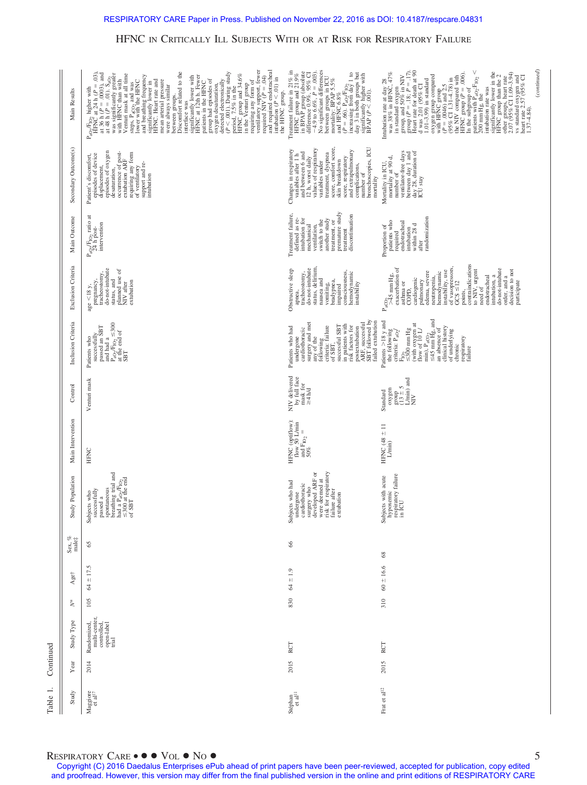| Main Results                               | ventilatory support, fewer<br>required NIV ( $P = .04$ )<br>and required endotracheal<br>intubation $(P < .01)$ in<br>the HFNC group.<br>detected electronically<br>$(P < .001)$ . During study<br>$P = .001$ , 7.5% in the<br>Herod, 7.5% in the<br>Herodining any form of<br>requiring any form of<br>requiring any form of<br>Discomfort related to the<br>$P_{aOy}F_{1Oy}$ higher with<br>$H^{2}NC$ at 24 h ( $P = .03$ ),<br>at 36 h ( $P = .0003$ ), and<br>at 36 h ( $P = .0003$ ), and<br>at 36 initial suppressionally grades<br>was 4 initial suits, with<br>with HFNC than with<br>Venturi mask at all time<br>steps, P <sub>aCO2</sub> and was<br>lower with the HFNC<br>and breathing frequency<br>signature in<br>HFNC. Heart rate and<br>HFNC. Heart rate and<br>mean arterial presssure<br>significantly lower with<br>HFNC at 12th h. Fewer<br>patients in the HFNC<br>group had episodes of<br>oxygen desaturation,<br>were always similar<br>between groups.<br>interface was | : Hiraya, roup and 21.9%<br>in BPAP group (absolute<br>$-4.9$ to $6.6\%$ , $P = .003$ ).<br>$-4.9$ to $6.6\%$ , $P = .003$ ).<br>No significant differences<br>No significant differences<br>mortality, BPAP 5.5%<br>Treatment failure in 21% in<br>$(P = .66)$ . $P_{aQ}F_{1Q2}$<br>increasing from day 1 to<br>day 3 in both groups but<br>significantly higher with<br>BPAP ( $P < .001$ ).<br>and HFNC 6.8% | (continued)<br>oxygen group compared<br>$Q^{\text{th}}$ HFNC grad 2.5<br>$Q^{\text{th}}$ Cl 1.31-4.78) in<br>$Q^{\text{th}}$ Cl 1.31-4.78) in<br>the NIV compared with<br>the subgroup of<br>In the subgroup of<br>In the subgroup of<br>patients with $P_{qO_2}F_{1O_2} <$<br>in standard oxygen<br>group, and 50% in NIV<br>group ( $P = 1.8$ ; $P = 1.7$ ),<br>Henne ( $P = 1.8$ ; $P = 1.7$ ),<br>d was 2.01 (95% CI<br>1.01–3.99) in standard<br>significantly lower in the HFNC group than the 2 other groups, heart rate $2.07$ (95% CI 1.09–3.94)<br>Intubation rate at day 28 was 38% in HFNC, $47\%$<br>vs standard oxygen and<br>heart rate $2.57$ (95% CI<br>intubation rate was<br>200 mm Hg, the<br>$1.37 - 4.84$ . |
|--------------------------------------------|--------------------------------------------------------------------------------------------------------------------------------------------------------------------------------------------------------------------------------------------------------------------------------------------------------------------------------------------------------------------------------------------------------------------------------------------------------------------------------------------------------------------------------------------------------------------------------------------------------------------------------------------------------------------------------------------------------------------------------------------------------------------------------------------------------------------------------------------------------------------------------------------------------------------------------------------------------------------------------------------------|-----------------------------------------------------------------------------------------------------------------------------------------------------------------------------------------------------------------------------------------------------------------------------------------------------------------------------------------------------------------------------------------------------------------|-----------------------------------------------------------------------------------------------------------------------------------------------------------------------------------------------------------------------------------------------------------------------------------------------------------------------------------------------------------------------------------------------------------------------------------------------------------------------------------------------------------------------------------------------------------------------------------------------------------------------------------------------------------------------------------------------------------------------------------|
| Secondary Outcome(s)                       | displacement,<br>episodes of oxygen<br>desaturation,<br>occurrence of post-<br>extubation ARF<br>requiring any form<br>of ventilatory<br>support and re-<br>intubation<br>Patient's discomfort,<br>episodes of device                                                                                                                                                                                                                                                                                                                                                                                                                                                                                                                                                                                                                                                                                                                                                                            | complications,<br>number of<br>bronchoscopies, ICU<br>treatment, dyspnea<br>score, comfort score,<br>skin breakdown<br>12 h, worst daily<br>values of respiratory<br>variables under<br>Changes in respiratory<br>variables after 1 h<br>and extrapulmonary<br>and between 6 and<br>score, respiratory<br>mortality                                                                                             | ventilator-free days<br>between day 1 and<br>day 28, duration of<br>ICU stay<br>mortality at $90$ d, number of<br>Mortality in ICU,                                                                                                                                                                                                                                                                                                                                                                                                                                                                                                                                                                                               |
| Main Outcome                               | $\rm P_{aOy}/F_{IO2}$ ratio at $24~\rm h$ post-<br>intervention                                                                                                                                                                                                                                                                                                                                                                                                                                                                                                                                                                                                                                                                                                                                                                                                                                                                                                                                  | premature study<br>Treatment failure,<br>discontinuation<br>defined as re-<br>intubation for<br>another study<br>ventilation,<br>switch to the<br>treatment, or<br>mechanical<br>treatment                                                                                                                                                                                                                      | randomization<br>patients who<br>endotracheal<br>intubation<br>within 28 d<br>Proportion of<br>required<br>after                                                                                                                                                                                                                                                                                                                                                                                                                                                                                                                                                                                                                  |
| Exclusion Criteria                         | do-not-intubate<br>planned use of<br>NIV after<br>pregnancy,<br>tracheostomy,<br>status, and<br>extubation<br>age $<$ 18 y,                                                                                                                                                                                                                                                                                                                                                                                                                                                                                                                                                                                                                                                                                                                                                                                                                                                                      | do-not-intubate<br>status, delirium,<br>nausea and<br>Obstructive sleep<br>consciousness,<br>hemodynamic<br>tracheostomy,<br>bradypnea,<br>vomiting,<br>instability<br>impaired<br>apnea,                                                                                                                                                                                                                       | points,<br>contraindications<br>exacerbation of<br>of vasopressors,<br>GCS $\leq$ 12<br>intubation, a<br>do-not-intubate<br>decision to not<br>to NIV, urgent<br>need of<br>instability, use<br>pulmonary<br>edema, severe<br>neutropenia,<br>hemodynamic<br>$P_{\text{aCO}_2}$ $\rightarrow$ 45 mm Hg,<br>endotracheal<br>order, and a<br>cardiogenic<br>participate<br>asthma or<br>COPD,                                                                                                                                                                                                                                                                                                                                       |
| Inclusion Criteria                         | $P_{aOy}/F_{1O_2} \leq 300$<br>at the end of<br>Patients who<br>successfully<br>passed an SBT<br>and had a<br>SBT                                                                                                                                                                                                                                                                                                                                                                                                                                                                                                                                                                                                                                                                                                                                                                                                                                                                                | postextubation<br>ARF, successful<br>SBT followed by<br>failed extubation<br>surgery and met<br>any of the<br>following<br>criteria: failure<br>in patients with<br>risk factors for<br>successful SBT<br>Patients who had<br>cardiothoracic<br>undergone<br>of SBT,                                                                                                                                            | min), $P_{\text{aCO}_2}$<br>$\leq$ 45 mm Hg, and<br>Patients $>$ 18 y and<br>the following<br>$F_{1O_2}$<br>$\leq 300$ mm Hg<br>(with oxygen at<br>flow of $10$ L/<br>clinical history<br>an absence of<br>of underlying<br>criteria: $P_{aO_2}$<br>respiratory<br>failure<br>chronic                                                                                                                                                                                                                                                                                                                                                                                                                                             |
| Control                                    | Venturi mask                                                                                                                                                                                                                                                                                                                                                                                                                                                                                                                                                                                                                                                                                                                                                                                                                                                                                                                                                                                     | NIV delivered<br>by full face<br>mask for<br>$\geq 4$ h/d                                                                                                                                                                                                                                                                                                                                                       | $\begin{array}{l}\n\text{group} \\ (13 \pm 5) \\ \text{Limit} \\ \text{MIV}\n\end{array}$<br>oxygen<br>Standard                                                                                                                                                                                                                                                                                                                                                                                                                                                                                                                                                                                                                   |
| Main Intervention                          | <b>HFNC</b>                                                                                                                                                                                                                                                                                                                                                                                                                                                                                                                                                                                                                                                                                                                                                                                                                                                                                                                                                                                      | HFNC (optiflow):<br>flow 50 L/min<br>and $F_{\text{IO}_2} =$<br>50%                                                                                                                                                                                                                                                                                                                                             | HFNC $(48 \pm 11)$<br>L/min)                                                                                                                                                                                                                                                                                                                                                                                                                                                                                                                                                                                                                                                                                                      |
| Study Population                           | Subjects who<br>successfully<br>passed a<br>passed a<br>space of the side of $P_{\text{top}}/F_{\text{top}}$<br>breathing trial and<br>he and $0$ $P_{\text{top}}/F_{\text{top}}$<br>and $0$ $P_{\text{top}}/F_{\text{top}}$<br>$\leq$ 5BT                                                                                                                                                                                                                                                                                                                                                                                                                                                                                                                                                                                                                                                                                                                                                       | Subjects who had consider the basic considerable consider the surgery who been developed AR $\sigma$ we consider the spirate field $\sigma$ and $\sigma$ and $\sigma$ and $\sigma$ and $\sigma$ are spirate field $\sigma$ and $\sigma$ and $\sigma$ and $\sigma$ and                                                                                                                                           | Subjects with acute<br>hypoxemic<br>respiratory failure<br>in ICU                                                                                                                                                                                                                                                                                                                                                                                                                                                                                                                                                                                                                                                                 |
| Sex, $\underset{\text{male}_+^+}{\approx}$ | 65                                                                                                                                                                                                                                                                                                                                                                                                                                                                                                                                                                                                                                                                                                                                                                                                                                                                                                                                                                                               | 66                                                                                                                                                                                                                                                                                                                                                                                                              | $^{8}$                                                                                                                                                                                                                                                                                                                                                                                                                                                                                                                                                                                                                                                                                                                            |
| Age†                                       | ιÓ.<br>$+17.$<br>$\mathcal{L}$                                                                                                                                                                                                                                                                                                                                                                                                                                                                                                                                                                                                                                                                                                                                                                                                                                                                                                                                                                   | $64 \pm 1.9$                                                                                                                                                                                                                                                                                                                                                                                                    | $60 \pm 16.6$                                                                                                                                                                                                                                                                                                                                                                                                                                                                                                                                                                                                                                                                                                                     |
| $\stackrel{*}{\geq}$                       | 105                                                                                                                                                                                                                                                                                                                                                                                                                                                                                                                                                                                                                                                                                                                                                                                                                                                                                                                                                                                              | 830                                                                                                                                                                                                                                                                                                                                                                                                             | 310                                                                                                                                                                                                                                                                                                                                                                                                                                                                                                                                                                                                                                                                                                                               |
| Study Type                                 | Randomized,<br>multi-center,<br>controlled,<br>open-label<br>trial                                                                                                                                                                                                                                                                                                                                                                                                                                                                                                                                                                                                                                                                                                                                                                                                                                                                                                                               | RCT                                                                                                                                                                                                                                                                                                                                                                                                             | RCT                                                                                                                                                                                                                                                                                                                                                                                                                                                                                                                                                                                                                                                                                                                               |
| Year                                       | 2014                                                                                                                                                                                                                                                                                                                                                                                                                                                                                                                                                                                                                                                                                                                                                                                                                                                                                                                                                                                             | 2015                                                                                                                                                                                                                                                                                                                                                                                                            | 2015                                                                                                                                                                                                                                                                                                                                                                                                                                                                                                                                                                                                                                                                                                                              |
| Study                                      | Maggiore<br>et al <sup>17</sup>                                                                                                                                                                                                                                                                                                                                                                                                                                                                                                                                                                                                                                                                                                                                                                                                                                                                                                                                                                  | Stéphan<br>et al <sup>11</sup>                                                                                                                                                                                                                                                                                                                                                                                  | Frat et al<br>$\!12}$                                                                                                                                                                                                                                                                                                                                                                                                                                                                                                                                                                                                                                                                                                             |

## RESPIRATORY CARE  $\bullet \bullet \bullet \text{Vol} \bullet \text{No} \bullet$  5

Table 1. Continued

Table 1. Continued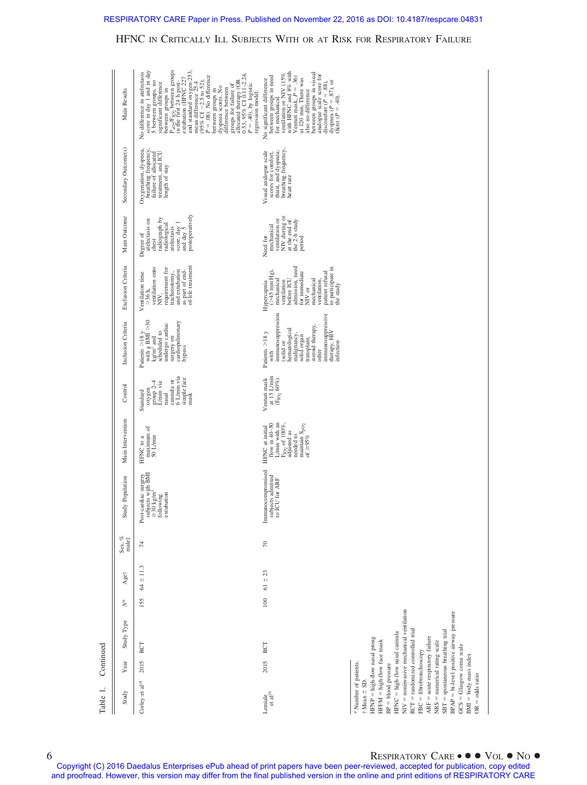| ί |  |
|---|--|
|   |  |
|   |  |
|   |  |

| Table 1.                                                                                                                                                                                                                                                                                                                                                                                                                                                         | Continued |                                                                                      |                  |               |                 |                                                                                                             |                                                                                                                                                                |                                                                                                                                 |                                                                                                                                                                                                          |                                                                                                                                                                                                            |                                                                                                                                      |                                                                                                               |                                                                                                                                                                                                                                                                                                                                                                                                                                                                                                                                     |
|------------------------------------------------------------------------------------------------------------------------------------------------------------------------------------------------------------------------------------------------------------------------------------------------------------------------------------------------------------------------------------------------------------------------------------------------------------------|-----------|--------------------------------------------------------------------------------------|------------------|---------------|-----------------|-------------------------------------------------------------------------------------------------------------|----------------------------------------------------------------------------------------------------------------------------------------------------------------|---------------------------------------------------------------------------------------------------------------------------------|----------------------------------------------------------------------------------------------------------------------------------------------------------------------------------------------------------|------------------------------------------------------------------------------------------------------------------------------------------------------------------------------------------------------------|--------------------------------------------------------------------------------------------------------------------------------------|---------------------------------------------------------------------------------------------------------------|-------------------------------------------------------------------------------------------------------------------------------------------------------------------------------------------------------------------------------------------------------------------------------------------------------------------------------------------------------------------------------------------------------------------------------------------------------------------------------------------------------------------------------------|
| Study                                                                                                                                                                                                                                                                                                                                                                                                                                                            | Year      | Study Type                                                                           | ₹                | Age†          | Sex, $\%$ male: | Study Population                                                                                            | Main Intervention                                                                                                                                              | Control                                                                                                                         | Inclusion Criteria                                                                                                                                                                                       | Exclusion Criteria                                                                                                                                                                                         | Main Outcome                                                                                                                         | Secondary Outcome(s)                                                                                          | Main Results                                                                                                                                                                                                                                                                                                                                                                                                                                                                                                                        |
| Corley et al $^{18}$                                                                                                                                                                                                                                                                                                                                                                                                                                             | 2015      | RCT                                                                                  | 155              | $64 \pm 11.3$ | 74              | Post-cardiac surgery<br>subjects with BMI<br>$\approx 30 \text{ kg/m}^2$<br>following<br>extubation<br>Post | maximum of<br>50 L/min<br>HFNC to a                                                                                                                            | 6 L/min via<br>simple face<br>cannula or<br>$\frac{\text{group } 2-4}{\text{L/min via}}$<br>oxygen<br>Standard<br>mask<br>nasal | Patients $>18 y$<br>with a BMI $>30$<br>kg/m <sup>2</sup> and<br>surgery on<br>cardiopulmonary<br>undergo cardiac<br>scheduled to<br>bypass                                                              | as part of end-<br>of-life treatment<br>ventilation onto<br>requirement for<br>and extubation<br>tracheostomy,<br>Ventilation time<br>$>36h$ ,<br>NIV.                                                     | postoperatively<br>radiograph by<br>atelectasis on<br>score, day 1<br>and day 5<br>radiological<br>atelectasis<br>Degree of<br>chest | Oxygenation, dyspnea,<br>breathing frequency,<br>failure of allocated<br>treatment, and ICU<br>length of stay | $P_{aOy}F_{1Oz}$ between groups<br>in the first 24 h post-<br>extubation (HFNC 227<br>score in day 1 and in day<br>and standard oxygen 253,<br>mean difference 25.4<br>(95% CI -2.5 to 52);<br>No difference in atelectasis<br>groups for failure of<br>allocated therapy (OR<br>$0.53, 95\%$ CI $0.11-2.24$ ,<br>$P = .08$ ). No difference<br>5 between groups, no<br>significant difference<br>$P = 40$ , by logistic<br>between groups in<br>dyspnea scores. No<br>between groups in<br>difference between<br>regression model. |
| Lemiale<br>et al $^{19}$                                                                                                                                                                                                                                                                                                                                                                                                                                         | 2015      | RCT                                                                                  | $\overline{100}$ | $61 \pm 23$   | $\approx$       | Immunocompromised<br>subjects admitted<br>to ICU for ARF                                                    | flow in $40-50$<br>L/min with an<br>$\mathrm{F}_{\mathrm{IO}_2}$ of 100%, adjusted as<br>maintain $S_{pO_2}$<br>of $\geq 95\%$<br>HFNC at initial<br>needed to | at 15 L/min<br>Venturi mask<br>$(\mathrm{F}_{\mathrm{IO}_2}$ $60\%)$                                                            | immunosuppression<br>immunosuppressive<br>steroid therapy,<br>hematological<br>Patients $>$ 18 y<br>therapy, HIV<br>malignancy,<br>solid organ<br>transplant,<br>(solid or<br>infection<br>other<br>with | admission, need<br>to participate in<br>the study<br>$($ >45 mm Hg),<br>for immediate<br>NIV or<br>patient refusal<br>before ICU<br>mechanical<br>ventilation,<br>mechanical<br>ventilation<br>Hypercapnia | NIV during or<br>ventilation or<br>at the end of<br>the 2-h study<br>mechanical<br>Need for<br>period                                | breathing frequency,<br>Visual analogue scale<br>thirst, and dyspnea;<br>scores for comfort,<br>heart rate    | ventilation or NIV (15% with HFNC and 8% with Venturi mask, $P = .36$ )<br>between groups in visual<br>analogue scale score for<br>discomfort ( $P = .88$ ),<br>dyspnea ( $P = .87$ ), or<br>thirst ( $P = .40$ ).<br>between groups in need<br>for mechanical<br>at 120 min. There was<br>No significant difference<br>also no difference                                                                                                                                                                                          |
| $RCT = randomized controlled trial$<br>$SBT =$ spontaneous breathing trial<br>HFNC = high-flow nasal cannula<br>$ARF = a$ cute respiratory failure<br>HFNP = high-flow nasal prong<br>HFFM = high-flow face mask<br>$NRS = numerical rating scale$<br>$GCS = Glassgow coma scale$<br>$FBC = fibrobronchoscopy$<br>$\text{BMI} = \text{body}$ mass index<br>* Number of patients.<br>$BP = blood pressure$<br>$\mathrm{OR} = \mathrm{odds}$ ratio<br>† Mean ± SD. |           | NIV = noninvasive mechanical ventilation<br>BPAP = bi-level positive airway pressure |                  |               |                 |                                                                                                             |                                                                                                                                                                |                                                                                                                                 |                                                                                                                                                                                                          |                                                                                                                                                                                                            |                                                                                                                                      |                                                                                                               |                                                                                                                                                                                                                                                                                                                                                                                                                                                                                                                                     |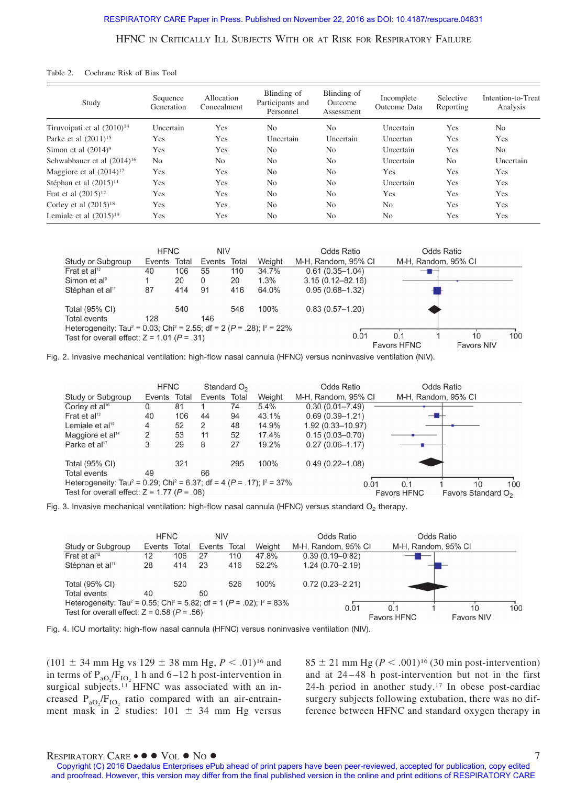| Cochrane Risk of Bias Tool<br>Table 2. |  |
|----------------------------------------|--|
|----------------------------------------|--|

| Study                           | Sequence<br>Generation | Allocation<br>Concealment | Blinding of<br>Participants and<br>Personnel | Blinding of<br><b>Outcome</b><br>Assessment | Incomplete<br>Outcome Data | Selective<br>Reporting | Intention-to-Treat<br>Analysis |
|---------------------------------|------------------------|---------------------------|----------------------------------------------|---------------------------------------------|----------------------------|------------------------|--------------------------------|
| Tiruvoipati et al $(2010)^{14}$ | Uncertain              | Yes                       | N <sub>o</sub>                               | N <sub>0</sub>                              | Uncertain                  | Yes                    | N <sub>o</sub>                 |
| Parke et al $(2011)^{15}$       | Yes                    | Yes                       | Uncertain                                    | Uncertain                                   | Uncertan                   | Yes                    | Yes                            |
| Simon et al $(2014)^9$          | Yes                    | Yes                       | N <sub>o</sub>                               | No                                          | Uncertain                  | Yes                    | N <sub>o</sub>                 |
| Schwabbauer et al $(2014)^{16}$ | N <sub>o</sub>         | N <sub>0</sub>            | N <sub>o</sub>                               | N <sub>0</sub>                              | Uncertain                  | N <sub>0</sub>         | Uncertain                      |
| Maggiore et al $(2014)^{17}$    | Yes                    | Yes                       | N <sub>o</sub>                               | N <sub>0</sub>                              | Yes                        | Yes                    | Yes                            |
| Stéphan et al $(2015)^{11}$     | Yes                    | Yes                       | N <sub>o</sub>                               | N <sub>0</sub>                              | Uncertain                  | Yes                    | Yes                            |
| Frat et al $(2015)^{12}$        | Yes                    | Yes                       | N <sub>o</sub>                               | N <sub>0</sub>                              | Yes                        | Yes                    | Yes                            |
| Corley et al $(2015)^{18}$      | Yes                    | Yes                       | N <sub>o</sub>                               | N <sub>0</sub>                              | N <sub>o</sub>             | Yes                    | Yes                            |
| Lemiale et al $(2015)^{19}$     | Yes                    | Yes                       | N <sub>0</sub>                               | N <sub>0</sub>                              | N <sub>o</sub>             | Yes                    | Yes                            |

|                                                                                                             | <b>HFNC</b> |       | <b>NIV</b>   |     |        | Odds Ratio           |                     | Odds Ratio        |     |  |
|-------------------------------------------------------------------------------------------------------------|-------------|-------|--------------|-----|--------|----------------------|---------------------|-------------------|-----|--|
| Study or Subgroup                                                                                           | Events      | Total | Events Total |     | Weight | M-H, Random, 95% CI  | M-H, Random, 95% CI |                   |     |  |
| Frat et al <sup>12</sup>                                                                                    | 40          | 106   | 55           | 110 | 34.7%  | $0.61(0.35 - 1.04)$  |                     |                   |     |  |
| Simon et al <sup>9</sup>                                                                                    |             | 20    | 0            | 20  | 1.3%   | $3.15(0.12 - 82.16)$ |                     |                   |     |  |
| Stéphan et al <sup>11</sup>                                                                                 | 87          | 414   | 91           | 416 | 64.0%  | $0.95(0.68 - 1.32)$  |                     |                   |     |  |
|                                                                                                             |             |       |              |     |        |                      |                     |                   |     |  |
| Total (95% CI)                                                                                              |             | 540   |              | 546 | 100%   | $0.83(0.57-1.20)$    |                     |                   |     |  |
| <b>Total events</b>                                                                                         | 128         |       | 146          |     |        |                      |                     |                   |     |  |
| Heterogeneity: Tau <sup>2</sup> = 0.03; Chi <sup>2</sup> = 2.55; df = 2 ( $P = .28$ ); l <sup>2</sup> = 22% |             |       |              |     |        |                      |                     |                   |     |  |
| Test for overall effect: $Z = 1.01$ ( $P = .31$ )                                                           |             |       |              |     |        | 0.01                 | 0.1                 | 10                | 100 |  |
|                                                                                                             |             |       |              |     |        |                      | <b>Favors HFNC</b>  | <b>Favors NIV</b> |     |  |

Fig. 2. Invasive mechanical ventilation: high-flow nasal cannula (HFNC) versus noninvasive ventilation (NIV).

|                                                                                                | <b>HFNC</b> |       | Standard $O2$ |     |                    | Odds Ratio                     |      |                     | Odds Ratio |     |
|------------------------------------------------------------------------------------------------|-------------|-------|---------------|-----|--------------------|--------------------------------|------|---------------------|------------|-----|
| Study or Subgroup                                                                              | Events      | Total | Events Total  |     | Weight             | M-H, Random, 95% CI            |      | M-H, Random, 95% CI |            |     |
| Corley et $al^{16}$                                                                            |             | 81    |               | 74  | 5.4%               | $0.30(0.01 - 7.49)$            |      |                     |            |     |
| Frat et al <sup>12</sup>                                                                       | 40          | 106   | 44            | 94  | 43.1%              | $0.69(0.39 - 1.21)$            |      |                     |            |     |
| Lemiale et al <sup>19</sup>                                                                    | 4           | 52    | 2             | 48  | 14.9%              | $1.92(0.33 - 10.97)$           |      |                     |            |     |
| Maggiore et al <sup>14</sup>                                                                   | 2           | 53    | 11            | 52  | 17.4%              | $0.15(0.03 - 0.70)$            |      |                     |            |     |
| Parke et al <sup>17</sup>                                                                      | 3           | 29    | 8             | 27  | 19.2%              | $0.27(0.06 - 1.17)$            |      |                     |            |     |
| Total (95% CI)                                                                                 |             | 321   |               | 295 | 100%               | $0.49(0.22 - 1.08)$            |      |                     |            |     |
| Total events                                                                                   | 49          |       | 66            |     |                    |                                |      |                     |            |     |
| Heterogeneity: Tau <sup>2</sup> = 0.29; Chi <sup>2</sup> = 6.37; df = 4 (P = .17); $I^2$ = 37% |             |       |               |     |                    |                                | 0.01 | 0.1                 | 10         | 100 |
| Test for overall effect: $Z = 1.77$ ( $P = .08$ )                                              |             |       |               |     | <b>Favors HFNC</b> | Favors Standard O <sub>2</sub> |      |                     |            |     |

Fig. 3. Invasive mechanical ventilation: high-flow nasal cannula (HFNC) versus standard  $O<sub>2</sub>$  therapy.

|                                                                                                                                                                  | <b>HFNC</b> |       | <b>NIV</b> |       |        | Odds Ratio          |                           | Odds Ratio          |           |
|------------------------------------------------------------------------------------------------------------------------------------------------------------------|-------------|-------|------------|-------|--------|---------------------|---------------------------|---------------------|-----------|
| Study or Subgroup                                                                                                                                                | Events      | Total | Events     | Total | Weight | M-H. Random, 95% CI |                           | M-H, Random, 95% CI |           |
| Frat et al <sup>12</sup>                                                                                                                                         | 12          | 106   | 27         | 110   | 47.8%  | $0.39(0.19 - 0.82)$ |                           |                     |           |
| Stéphan et al <sup>11</sup>                                                                                                                                      | 28          | 414   | 23         | 416   | 52.2%  | $1.24(0.70 - 2.19)$ |                           |                     |           |
| Total (95% CI)                                                                                                                                                   |             | 520   |            | 526   | 100%   | $0.72(0.23 - 2.21)$ |                           |                     |           |
| <b>Total events</b>                                                                                                                                              | 40          |       | 50         |       |        |                     |                           |                     |           |
| Heterogeneity: Tau <sup>2</sup> = 0.55; Chi <sup>2</sup> = 5.82; df = 1 ( $P = .02$ ); l <sup>2</sup> = 83%<br>Test for overall effect: $Z = 0.58$ ( $P = .56$ ) |             |       |            |       |        | 0.01                | 0.1<br><b>Favors HFNC</b> | <b>Favors NIV</b>   | 100<br>10 |

Fig. 4. ICU mortality: high-flow nasal cannula (HFNC) versus noninvasive ventilation (NIV).

 $(101 \pm 34 \text{ mm Hg vs } 129 \pm 38 \text{ mm Hg}, P < .01)^{16}$  and in terms of  $P_{aO_2}/F_{IO_2}$  1 h and 6–12 h post-intervention in surgical subjects.<sup>11</sup> HFNC was associated with an increased  $P_{aO_2}/F_{IO_2}$  ratio compared with an air-entrainment mask in 2 studies:  $101 \pm 34$  mm Hg versus  $85 \pm 21$  mm Hg ( $P < .001$ )<sup>16</sup> (30 min post-intervention) and at 24 – 48 h post-intervention but not in the first 24-h period in another study.17 In obese post-cardiac surgery subjects following extubation, there was no difference between HFNC and standard oxygen therapy in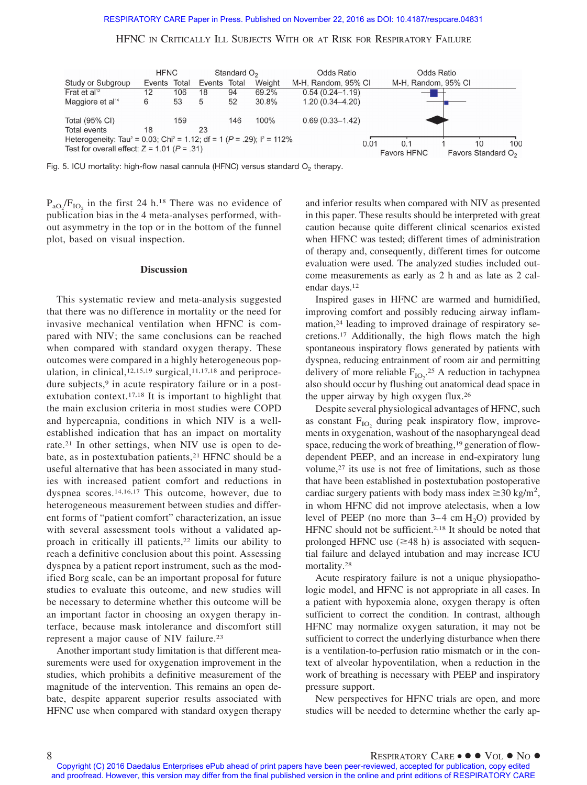

Fig. 5. ICU mortality: high-flow nasal cannula (HFNC) versus standard  $O<sub>2</sub>$  therapy.

 $P_{aO_2}/F_{IO_2}$  in the first 24 h.<sup>18</sup> There was no evidence of publication bias in the 4 meta-analyses performed, without asymmetry in the top or in the bottom of the funnel plot, based on visual inspection.

### **Discussion**

This systematic review and meta-analysis suggested that there was no difference in mortality or the need for invasive mechanical ventilation when HFNC is compared with NIV; the same conclusions can be reached when compared with standard oxygen therapy. These outcomes were compared in a highly heterogeneous population, in clinical, $12,15,19$  surgical, $11,17,18$  and periprocedure subjects,<sup>9</sup> in acute respiratory failure or in a postextubation context.17,18 It is important to highlight that the main exclusion criteria in most studies were COPD and hypercapnia, conditions in which NIV is a wellestablished indication that has an impact on mortality rate.21 In other settings, when NIV use is open to debate, as in postextubation patients,<sup>21</sup> HFNC should be a useful alternative that has been associated in many studies with increased patient comfort and reductions in dyspnea scores.14,16,17 This outcome, however, due to heterogeneous measurement between studies and different forms of "patient comfort" characterization, an issue with several assessment tools without a validated approach in critically ill patients,<sup>22</sup> limits our ability to reach a definitive conclusion about this point. Assessing dyspnea by a patient report instrument, such as the modified Borg scale, can be an important proposal for future studies to evaluate this outcome, and new studies will be necessary to determine whether this outcome will be an important factor in choosing an oxygen therapy interface, because mask intolerance and discomfort still represent a major cause of NIV failure.23

Another important study limitation is that different measurements were used for oxygenation improvement in the studies, which prohibits a definitive measurement of the magnitude of the intervention. This remains an open debate, despite apparent superior results associated with HFNC use when compared with standard oxygen therapy and inferior results when compared with NIV as presented in this paper. These results should be interpreted with great caution because quite different clinical scenarios existed when HFNC was tested; different times of administration of therapy and, consequently, different times for outcome evaluation were used. The analyzed studies included outcome measurements as early as 2 h and as late as 2 calendar days.12

Inspired gases in HFNC are warmed and humidified, improving comfort and possibly reducing airway inflammation,<sup>24</sup> leading to improved drainage of respiratory secretions.17 Additionally, the high flows match the high spontaneous inspiratory flows generated by patients with dyspnea, reducing entrainment of room air and permitting delivery of more reliable  $F_{IO_2}$ <sup>25</sup> A reduction in tachypnea also should occur by flushing out anatomical dead space in the upper airway by high oxygen flux.26

Despite several physiological advantages of HFNC, such as constant  $F_{IO}$ , during peak inspiratory flow, improvements in oxygenation, washout of the nasopharyngeal dead space, reducing the work of breathing,<sup>19</sup> generation of flowdependent PEEP, and an increase in end-expiratory lung volume,<sup>27</sup> its use is not free of limitations, such as those that have been established in postextubation postoperative cardiac surgery patients with body mass index  $\geq 30$  kg/m<sup>2</sup>, in whom HFNC did not improve atelectasis, when a low level of PEEP (no more than  $3-4$  cm  $H_2O$ ) provided by HFNC should not be sufficient.2,18 It should be noted that prolonged HFNC use  $(\geq 48 \text{ h})$  is associated with sequential failure and delayed intubation and may increase ICU mortality.28

Acute respiratory failure is not a unique physiopathologic model, and HFNC is not appropriate in all cases. In a patient with hypoxemia alone, oxygen therapy is often sufficient to correct the condition. In contrast, although HFNC may normalize oxygen saturation, it may not be sufficient to correct the underlying disturbance when there is a ventilation-to-perfusion ratio mismatch or in the context of alveolar hypoventilation, when a reduction in the work of breathing is necessary with PEEP and inspiratory pressure support.

New perspectives for HFNC trials are open, and more studies will be needed to determine whether the early ap-

Copyright (C) 2016 Daedalus Enterprises ePub ahead of print papers have been peer-reviewed, accepted for publication, copy edited and proofread. However, this version may differ from the final published version in the online and print editions of RESPIRATORY CARE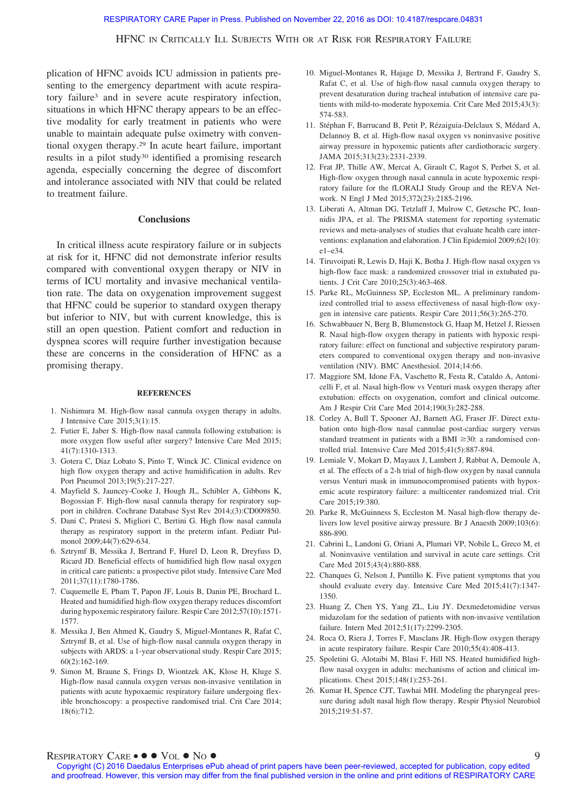plication of HFNC avoids ICU admission in patients presenting to the emergency department with acute respiratory failure3 and in severe acute respiratory infection, situations in which HFNC therapy appears to be an effective modality for early treatment in patients who were unable to maintain adequate pulse oximetry with conventional oxygen therapy.29 In acute heart failure, important results in a pilot study<sup>30</sup> identified a promising research agenda, especially concerning the degree of discomfort and intolerance associated with NIV that could be related to treatment failure.

### **Conclusions**

In critical illness acute respiratory failure or in subjects at risk for it, HFNC did not demonstrate inferior results compared with conventional oxygen therapy or NIV in terms of ICU mortality and invasive mechanical ventilation rate. The data on oxygenation improvement suggest that HFNC could be superior to standard oxygen therapy but inferior to NIV, but with current knowledge, this is still an open question. Patient comfort and reduction in dyspnea scores will require further investigation because these are concerns in the consideration of HFNC as a promising therapy.

#### **REFERENCES**

- 1. Nishimura M. High-flow nasal cannula oxygen therapy in adults. J Intensive Care 2015;3(1):15.
- 2. Futier E, Jaber S. High-flow nasal cannula following extubation: is more oxygen flow useful after surgery? Intensive Care Med 2015; 41(7):1310-1313.
- 3. Gotera C, Díaz Lobato S, Pinto T, Winck JC. Clinical evidence on high flow oxygen therapy and active humidification in adults. Rev Port Pneumol 2013;19(5):217-227.
- 4. Mayfield S, Jauncey-Cooke J, Hough JL, Schibler A, Gibbons K, Bogossian F. High-flow nasal cannula therapy for respiratory support in children. Cochrane Database Syst Rev 2014;(3):CD009850.
- 5. Dani C, Pratesi S, Migliori C, Bertini G. High flow nasal cannula therapy as respiratory support in the preterm infant. Pediatr Pulmonol 2009;44(7):629-634.
- 6. Sztrymf B, Messika J, Bertrand F, Hurel D, Leon R, Dreyfuss D, Ricard JD. Beneficial effects of humidified high flow nasal oxygen in critical care patients: a prospective pilot study. Intensive Care Med 2011;37(11):1780-1786.
- 7. Cuquemelle E, Pham T, Papon JF, Louis B, Danin PE, Brochard L. Heated and humidified high-flow oxygen therapy reduces discomfort during hypoxemic respiratory failure. Respir Care 2012;57(10):1571- 1577.
- 8. Messika J, Ben Ahmed K, Gaudry S, Miguel-Montanes R, Rafat C, Sztrymf B, et al. Use of high-flow nasal cannula oxygen therapy in subjects with ARDS: a 1-year observational study. Respir Care 2015; 60(2):162-169.
- 9. Simon M, Braune S, Frings D, Wiontzek AK, Klose H, Kluge S. High-flow nasal cannula oxygen versus non-invasive ventilation in patients with acute hypoxaemic respiratory failure undergoing flexible bronchoscopy: a prospective randomised trial. Crit Care 2014; 18(6):712.
- 10. Miguel-Montanes R, Hajage D, Messika J, Bertrand F, Gaudry S, Rafat C, et al. Use of high-flow nasal cannula oxygen therapy to prevent desaturation during tracheal intubation of intensive care patients with mild-to-moderate hypoxemia. Crit Care Med 2015;43(3): 574-583.
- 11. Stéphan F, Barrucand B, Petit P, Rézaiguia-Delclaux S, Médard A, Delannoy B, et al. High-flow nasal oxygen vs noninvasive positive airway pressure in hypoxemic patients after cardiothoracic surgery. JAMA 2015;313(23):2331-2339.
- 12. Frat JP, Thille AW, Mercat A, Girault C, Ragot S, Perbet S, et al. High-flow oxygen through nasal cannula in acute hypoxemic respiratory failure for the fLORALI Study Group and the REVA Network. N Engl J Med 2015;372(23):2185-2196.
- 13. Liberati A, Altman DG, Tetzlaff J, Mulrow C, Gøtzsche PC, Ioannidis JPA, et al. The PRISMA statement for reporting systematic reviews and meta-analyses of studies that evaluate health care interventions: explanation and elaboration. J Clin Epidemiol 2009;62(10): e1–e34.
- 14. Tiruvoipati R, Lewis D, Haji K, Botha J. High-flow nasal oxygen vs high-flow face mask: a randomized crossover trial in extubated patients. J Crit Care 2010;25(3):463-468.
- 15. Parke RL, McGuinness SP, Eccleston ML. A preliminary randomized controlled trial to assess effectiveness of nasal high-flow oxygen in intensive care patients. Respir Care 2011;56(3):265-270.
- 16. Schwabbauer N, Berg B, Blumenstock G, Haap M, Hetzel J, Riessen R. Nasal high-flow oxygen therapy in patients with hypoxic respiratory failure: effect on functional and subjective respiratory parameters compared to conventional oxygen therapy and non-invasive ventilation (NIV). BMC Anesthesiol. 2014;14:66.
- 17. Maggiore SM, Idone FA, Vaschetto R, Festa R, Cataldo A, Antonicelli F, et al. Nasal high-flow vs Venturi mask oxygen therapy after extubation: effects on oxygenation, comfort and clinical outcome. Am J Respir Crit Care Med 2014;190(3):282-288.
- 18. Corley A, Bull T, Spooner AJ, Barnett AG, Fraser JF. Direct extubation onto high-flow nasal cannulae post-cardiac surgery versus standard treatment in patients with a BMI  $\geq$ 30: a randomised controlled trial. Intensive Care Med 2015;41(5):887-894.
- 19. Lemiale V, Mokart D, Mayaux J, Lambert J, Rabbat A, Demoule A, et al. The effects of a 2-h trial of high-flow oxygen by nasal cannula versus Venturi mask in immunocompromised patients with hypoxemic acute respiratory failure: a multicenter randomized trial. Crit Care 2015;19:380.
- 20. Parke R, McGuinness S, Eccleston M. Nasal high-flow therapy delivers low level positive airway pressure. Br J Anaesth 2009;103(6): 886-890.
- 21. Cabrini L, Landoni G, Oriani A, Plumari VP, Nobile L, Greco M, et al. Noninvasive ventilation and survival in acute care settings. Crit Care Med 2015;43(4):880-888.
- 22. Chanques G, Nelson J, Puntillo K. Five patient symptoms that you should evaluate every day. Intensive Care Med 2015;41(7):1347- 1350.
- 23. Huang Z, Chen YS, Yang ZL, Liu JY. Dexmedetomidine versus midazolam for the sedation of patients with non-invasive ventilation failure. Intern Med 2012;51(17):2299-2305.
- 24. Roca O, Riera J, Torres F, Masclans JR. High-flow oxygen therapy in acute respiratory failure. Respir Care 2010;55(4):408-413.
- 25. Spoletini G, Alotaibi M, Blasi F, Hill NS. Heated humidified highflow nasal oxygen in adults: mechanisms of action and clinical implications. Chest 2015;148(1):253-261.
- 26. Kumar H, Spence CJT, Tawhai MH. Modeling the pharyngeal pressure during adult nasal high flow therapy. Respir Physiol Neurobiol 2015;219:51-57.

## $\mathsf{RESPIRATORY}$   $\mathsf{CARE} \bullet \bullet \bullet \mathsf{Vol} \bullet \mathsf{No} \bullet$